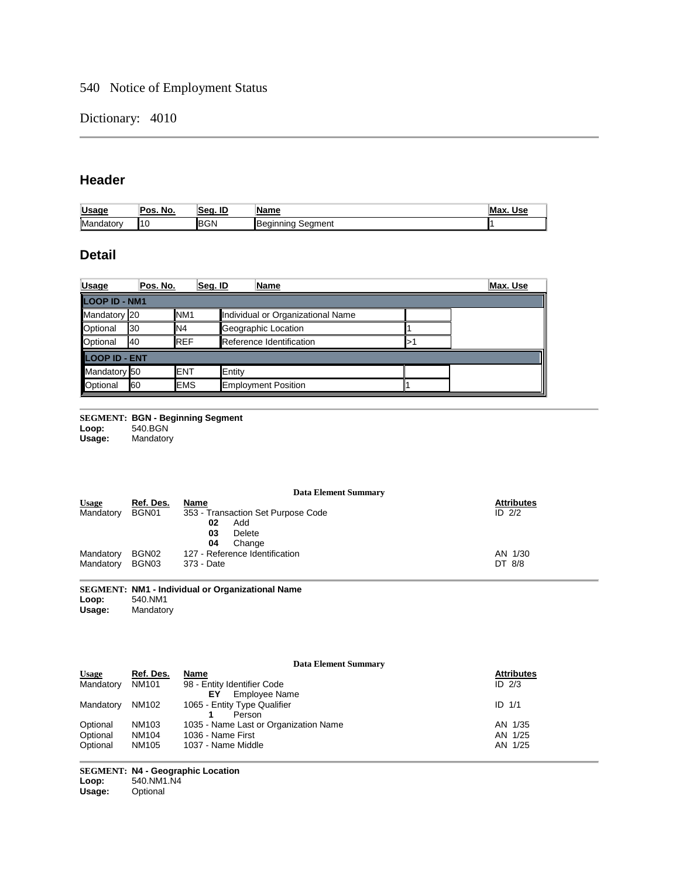# 540 Notice of Employment Status

#### Dictionary: 4010

## **Header**

| 10 C<br>lega <sup>/</sup><br><u>USa.</u> | Pos.<br>No. | ID<br>Seo | <b>Name</b>                       | Max<br>Use |
|------------------------------------------|-------------|-----------|-----------------------------------|------------|
| Mai<br>-- -<br>noatorv                   | 110         | IB,       | <b>I</b> Beain<br>Seament<br>าเทต |            |

## **Detail**

| Usage                | Pos. No. | Seq. ID         | Name                              |  | Max. Use |
|----------------------|----------|-----------------|-----------------------------------|--|----------|
| LOOP ID - NM1        |          |                 |                                   |  |          |
| Mandatory 20         |          | NM <sub>1</sub> | Individual or Organizational Name |  |          |
| Optional             | 30       | IN4             | Geographic Location               |  |          |
| <b>Optional</b>      | 40       | <b>REF</b>      | Reference Identification          |  |          |
| <b>LOOP ID - ENT</b> |          |                 |                                   |  |          |
| Mandatory 50         |          | <b>ENT</b>      | Entity                            |  |          |
| <b>Optional</b>      | 60       | <b>EMS</b>      | <b>Employment Position</b>        |  |          |

**SEGMENT: BGN - Beginning Segment**<br> **Loop:** 540.BGN<br> **Usage:** Mandatory **Loop:** 540.BGN

**Usage:** Mandatory

#### **Data Element Summary**

| <b>Usage</b>       | Ref. Des. | <b>Name</b>                        | <b>Attributes</b> |
|--------------------|-----------|------------------------------------|-------------------|
| Mandatory<br>BGN01 |           | 353 - Transaction Set Purpose Code | ID $2/2$          |
|                    |           | Add<br>02                          |                   |
|                    |           | Delete<br>03                       |                   |
|                    |           | Change<br>04                       |                   |
| Mandatory          | BGN02     | 127 - Reference Identification     | AN 1/30           |
| Mandatory          | BGN03     | 373 - Date                         | DT 8/8            |

#### **SEGMENT: NM1 - Individual or Organizational Name Loop:** 540.NM1

Loop: 540.NM1<br>Usage: Mandatory

| <b>Data Element Summary</b> |           |                                       |                   |
|-----------------------------|-----------|---------------------------------------|-------------------|
| <b>Usage</b>                | Ref. Des. | Name                                  | <b>Attributes</b> |
| Mandatory                   | NM101     | 98 - Entity Identifier Code           | ID $2/3$          |
|                             |           | <b>Employee Name</b><br>ΕY            |                   |
| Mandatory                   | NM102     | 1065 - Entity Type Qualifier          | ID $1/1$          |
|                             |           | Person                                |                   |
| Optional                    | NM103     | 1035 - Name Last or Organization Name | AN 1/35           |
| Optional                    | NM104     | 1036 - Name First                     | AN 1/25           |
| Optional                    | NM105     | 1037 - Name Middle                    | AN 1/25           |

**SEGMENT: N4 - Geographic Location Loop:** 540.NM1.N4 **Usage:** Optional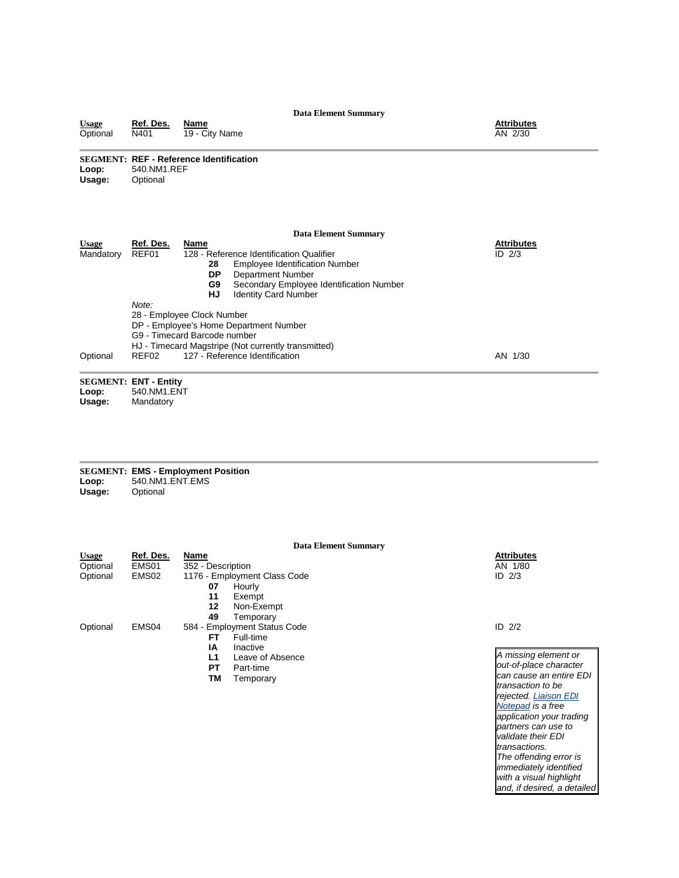#### **Data Element Summary Usage Ref. Des. Name Attributes** Versional Net Lessing Name And The City Name And The City Name And The City Name And The City Name And The City Name AN 2/30 **SEGMENT: REF - Reference Identification** Loop: 540.NM1.REF<br>Usage: Optional **Optional Data Element Summary Usage Ref. Des. Name Attributes** Usage Ref. Des. Name<br>Mandatory REF01 128 - Reference Identification Qualifier<br>28 Employee Identification Nu 28 Employee Identification Number<br>**DP** Department Number **DP** Department Number<br>**G9** Secondary Employee **G9** Secondary Employee Identification Number **HJ** Identity Card Number  $ID$   $2/3$ *Note:* 28 - Employee Clock Number DP - Employee's Home Department Number G9 - Timecard Barcode number HJ - Timecard Magstripe (Not currently transmitted)<br>REF02 127 - Reference Identification Optional REF02 127 - Reference Identification AN 1/30 **SEGMENT: ENT - Entity**

Loop: 540.NM1.ENT<br>Usage: Mandatory **Usage:** Mandatory

|        | <b>SEGMENT: EMS - Employment Position</b> |
|--------|-------------------------------------------|
| Loop:  | 540.NM1.ENT.EMS                           |
| Usage: | Optional                                  |

|                               |                              | <b>Data Element Summary</b>  |                        |
|-------------------------------|------------------------------|------------------------------|------------------------|
| <b>Usage</b>                  | Ref. Des.                    | <b>Name</b>                  | <b>Attributes</b>      |
| Optional                      | EMS01                        | 352 - Description            | AN 1/80                |
| Optional<br>EMS <sub>02</sub> | 1176 - Employment Class Code | ID $2/3$                     |                        |
|                               |                              | Hourly<br>07                 |                        |
|                               |                              | 11<br>Exempt                 |                        |
|                               |                              | 12<br>Non-Exempt             |                        |
|                               |                              | 49<br>Temporary              |                        |
| Optional                      | EMS <sub>04</sub>            | 584 - Employment Status Code | ID $2/2$               |
|                               |                              | Full-time<br>FT              |                        |
|                               |                              | ΙA<br>Inactive               |                        |
|                               |                              | L1<br>Leave of Absence       | A missing element or   |
|                               |                              | РT<br>Part-time              | out-of-place characte. |
|                               |                              | ΤM<br>Temporary              | can cause an entire E  |
|                               |                              |                              | transaction to be      |
|                               |                              |                              | rejected. Liaison EDI  |
|                               |                              |                              | Notepad is a free      |

*out-of-place character can cause an entire EDI rejected. [Liaison EDI](http://www.liaison.com/products/edinotepad)  [Notepad](http://www.liaison.com/products/edinotepad) is a free application your trading partners can use to validate their EDI transactions. The offending error is immediately identified with a visual highlight and, if desired, a detailed*